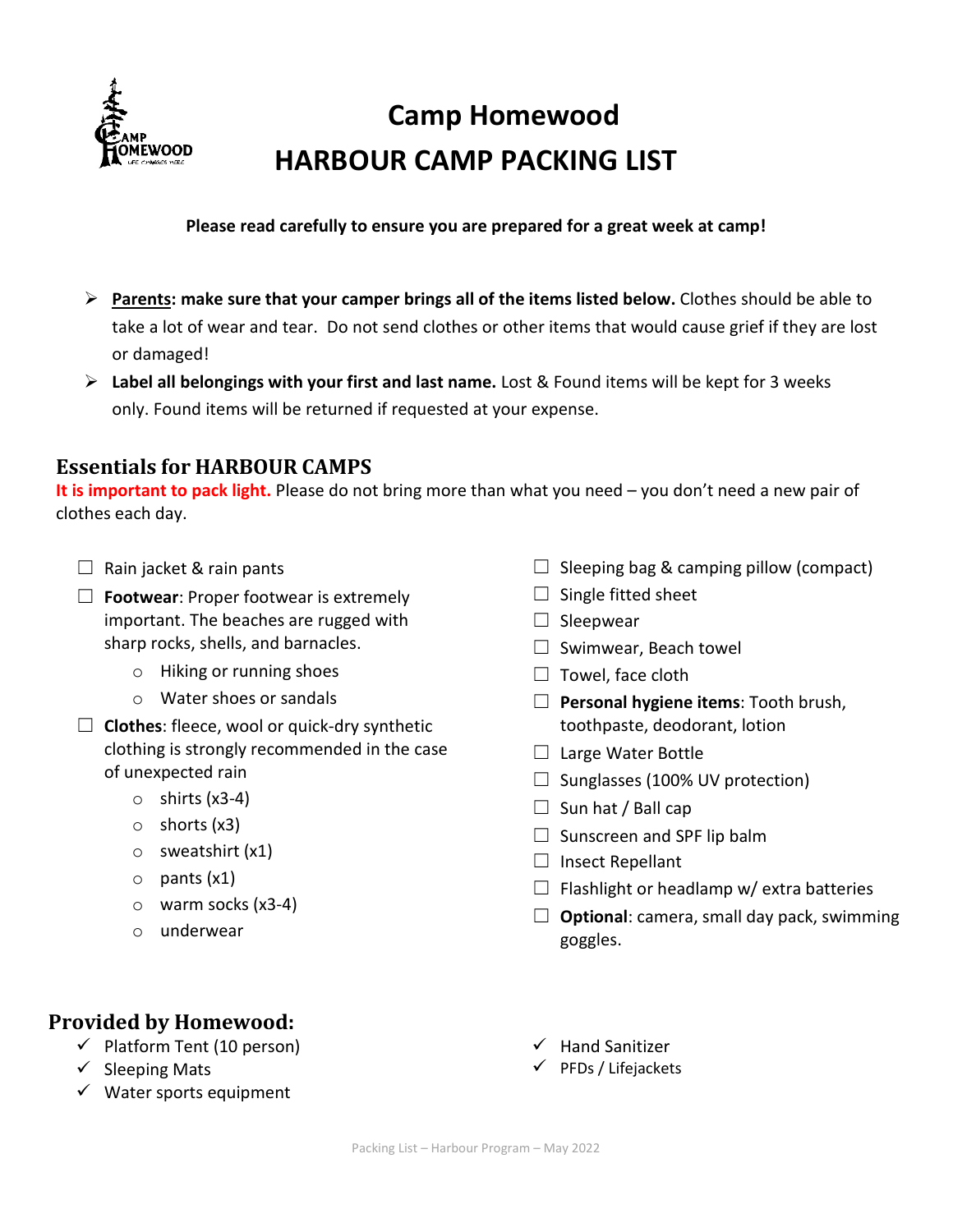

# **Camp Homewood HARBOUR CAMP PACKING LIST**

#### **Please read carefully to ensure you are prepared for a great week at camp!**

- **Parents: make sure that your camper brings all of the items listed below.** Clothes should be able to take a lot of wear and tear. Do not send clothes or other items that would cause grief if they are lost or damaged!
- **Label all belongings with your first and last name.** Lost & Found items will be kept for 3 weeks only. Found items will be returned if requested at your expense.

# **Essentials for HARBOUR CAMPS**

**It is important to pack light.** Please do not bring more than what you need – you don't need a new pair of clothes each day.

- $\Box$  Rain jacket & rain pants
- ☐ **Footwear**: Proper footwear is extremely important. The beaches are rugged with sharp rocks, shells, and barnacles.
	- o Hiking or running shoes
	- o Water shoes or sandals
- ☐ **Clothes**: fleece, wool or quick-dry synthetic clothing is strongly recommended in the case of unexpected rain
	- $\circ$  shirts (x3-4)
	- o shorts (x3)
	- o sweatshirt (x1)
	- o pants (x1)
	- o warm socks (x3-4)
	- o underwear
- $\Box$  Sleeping bag & camping pillow (compact)
- $\Box$  Single fitted sheet
- $\Box$  Sleepwear
- $\Box$  Swimwear, Beach towel
- $\Box$  Towel, face cloth
- ☐ **Personal hygiene items**: Tooth brush, toothpaste, deodorant, lotion
- □ Large Water Bottle
- $\Box$  Sunglasses (100% UV protection)
- $\Box$  Sun hat / Ball cap
- $\Box$  Sunscreen and SPF lip balm
- $\Box$  Insect Repellant
- $\Box$  Flashlight or headlamp w/ extra batteries
- $\Box$  **Optional**: camera, small day pack, swimming goggles.

# **Provided by Homewood:**

- $\checkmark$  Platform Tent (10 person)
- $\checkmark$  Sleeping Mats
- $\checkmark$  Water sports equipment
- $\checkmark$  Hand Sanitizer
- $\checkmark$  PFDs / Lifejackets